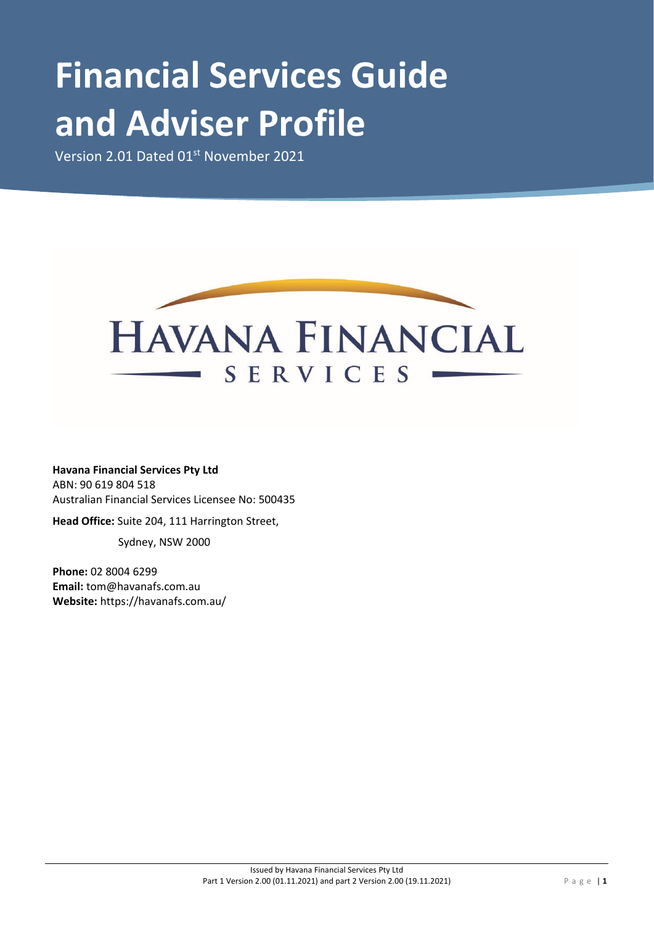# **Financial Services Guide and Adviser Profile**

Version 2.01 Dated 01<sup>st</sup> November 2021



**Havana Financial Services Pty Ltd** ABN: 90 619 804 518 Australian Financial Services Licensee No: 500435

**Head Office:** Suite 204, 111 Harrington Street,

Sydney, NSW 2000

**Phone:** 02 8004 6299 **Email:** tom@havanafs.com.au **Website:** https://havanafs.com.au/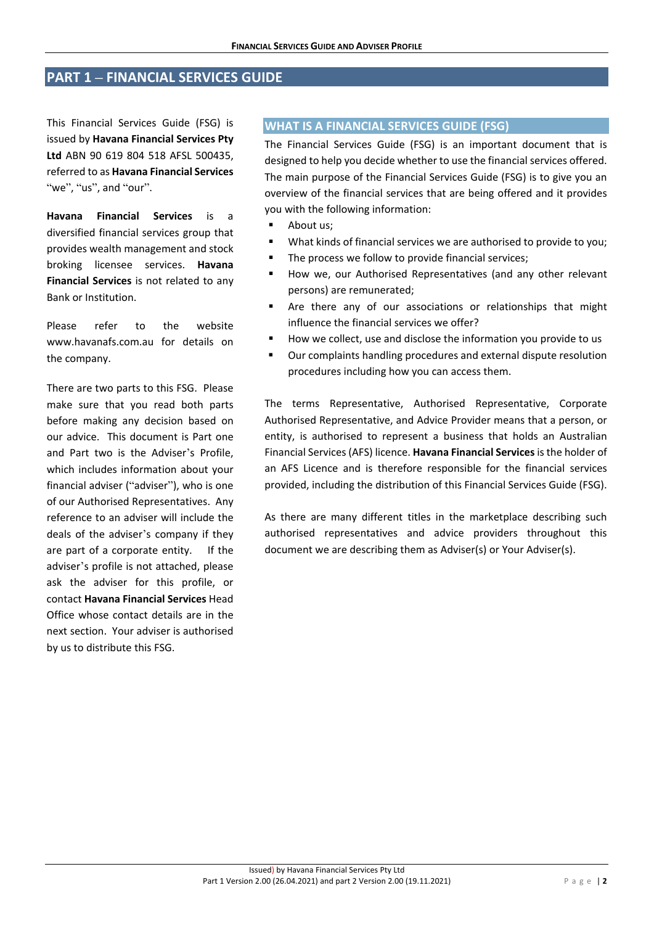# **PART 1 – FINANCIAL SERVICES GUIDE**

This Financial Services Guide (FSG) is issued by **Havana Financial Services Pty Ltd** ABN 90 619 804 518 AFSL 500435, referred to as **Havana Financial Services** "we". "us", and "our".

**Havana Financial Services** is a diversified financial services group that provides wealth management and stock broking licensee services. **Havana Financial Services** is not related to any Bank or Institution.

Please refer to the website www.havanafs.com.au for details on the company.

There are two parts to this FSG. Please make sure that you read both parts before making any decision based on our advice. This document is Part one and Part two is the Adviser's Profile, which includes information about your financial adviser ("adviser"), who is one of our Authorised Representatives. Any reference to an adviser will include the deals of the adviser's company if they are part of a corporate entity. If the adviser's profile is not attached, please ask the adviser for this profile, or contact **Havana Financial Services** Head Office whose contact details are in the next section. Your adviser is authorised by us to distribute this FSG.

#### **WHAT IS A FINANCIAL SERVICES GUIDE (FSG)**

The Financial Services Guide (FSG) is an important document that is designed to help you decide whether to use the financial services offered. The main purpose of the Financial Services Guide (FSG) is to give you an overview of the financial services that are being offered and it provides you with the following information:

- About us;
- What kinds of financial services we are authorised to provide to you;
- The process we follow to provide financial services;
- **How we, our Authorised Representatives (and any other relevant** persons) are remunerated;
- **Are there any of our associations or relationships that might** influence the financial services we offer?
- How we collect, use and disclose the information you provide to us
- Our complaints handling procedures and external dispute resolution procedures including how you can access them.

The terms Representative, Authorised Representative, Corporate Authorised Representative, and Advice Provider means that a person, or entity, is authorised to represent a business that holds an Australian Financial Services (AFS) licence. **Havana Financial Services**is the holder of an AFS Licence and is therefore responsible for the financial services provided, including the distribution of this Financial Services Guide (FSG).

As there are many different titles in the marketplace describing such authorised representatives and advice providers throughout this document we are describing them as Adviser(s) or Your Adviser(s).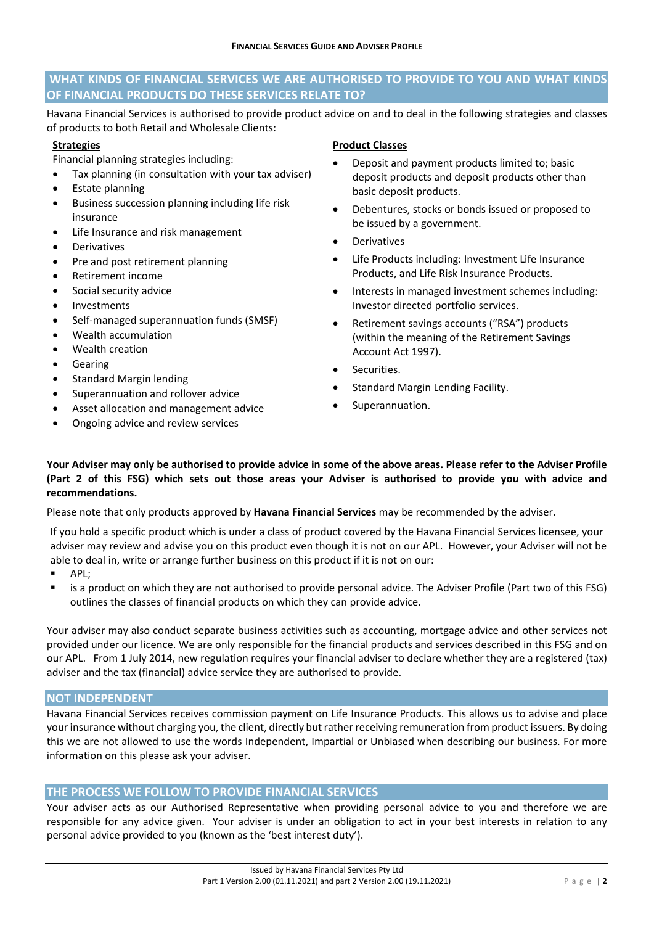# **WHAT KINDS OF FINANCIAL SERVICES WE ARE AUTHORISED TO PROVIDE TO YOU AND WHAT KINDS OF FINANCIAL PRODUCTS DO THESE SERVICES RELATE TO?**

Havana Financial Services is authorised to provide product advice on and to deal in the following strategies and classes of products to both Retail and Wholesale Clients:

## **Strategies**

Financial planning strategies including:

- Tax planning (in consultation with your tax adviser)
- Estate planning
- Business succession planning including life risk insurance
- Life Insurance and risk management
- **Derivatives**
- Pre and post retirement planning
- Retirement income
- Social security advice
- Investments
- Self-managed superannuation funds (SMSF)
- Wealth accumulation
- Wealth creation
- **Gearing**
- Standard Margin lending
- Superannuation and rollover advice
- Asset allocation and management advice
- Ongoing advice and review services

#### **Product Classes**

- Deposit and payment products limited to; basic deposit products and deposit products other than basic deposit products.
- Debentures, stocks or bonds issued or proposed to be issued by a government.
- **Derivatives**
- Life Products including: Investment Life Insurance Products, and Life Risk Insurance Products.
- Interests in managed investment schemes including: Investor directed portfolio services.
- Retirement savings accounts ("RSA") products (within the meaning of the Retirement Savings Account Act 1997).
- Securities.
- Standard Margin Lending Facility.
- Superannuation.

**Your Adviser may only be authorised to provide advice in some of the above areas. Please refer to the Adviser Profile (Part 2 of this FSG) which sets out those areas your Adviser is authorised to provide you with advice and recommendations.**

Please note that only products approved by **Havana Financial Services** may be recommended by the adviser.

If you hold a specific product which is under a class of product covered by the Havana Financial Services licensee, your adviser may review and advise you on this product even though it is not on our APL. However, your Adviser will not be able to deal in, write or arrange further business on this product if it is not on our:

- APL;
- is a product on which they are not authorised to provide personal advice. The Adviser Profile (Part two of this FSG) outlines the classes of financial products on which they can provide advice.

Your adviser may also conduct separate business activities such as accounting, mortgage advice and other services not provided under our licence. We are only responsible for the financial products and services described in this FSG and on our APL. From 1 July 2014, new regulation requires your financial adviser to declare whether they are a registered (tax) adviser and the tax (financial) advice service they are authorised to provide.

# **NOT INDEPENDENT**

Havana Financial Services receives commission payment on Life Insurance Products. This allows us to advise and place your insurance without charging you, the client, directly but rather receiving remuneration from product issuers. By doing this we are not allowed to use the words Independent, Impartial or Unbiased when describing our business. For more information on this please ask your adviser.

# **THE PROCESS WE FOLLOW TO PROVIDE FINANCIAL SERVICES**

Your adviser acts as our Authorised Representative when providing personal advice to you and therefore we are responsible for any advice given. Your adviser is under an obligation to act in your best interests in relation to any personal advice provided to you (known as the 'best interest duty').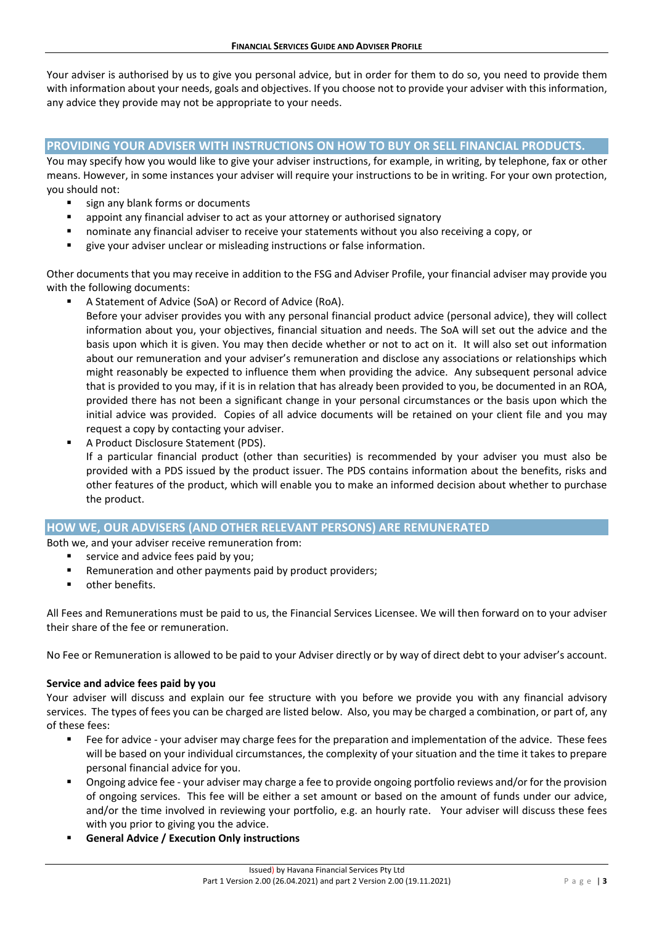Your adviser is authorised by us to give you personal advice, but in order for them to do so, you need to provide them with information about your needs, goals and objectives. If you choose not to provide your adviser with this information, any advice they provide may not be appropriate to your needs.

# **PROVIDING YOUR ADVISER WITH INSTRUCTIONS ON HOW TO BUY OR SELL FINANCIAL PRODUCTS.**

You may specify how you would like to give your adviser instructions, for example, in writing, by telephone, fax or other means. However, in some instances your adviser will require your instructions to be in writing. For your own protection, you should not:

- sign any blank forms or documents
- appoint any financial adviser to act as your attorney or authorised signatory
- nominate any financial adviser to receive your statements without you also receiving a copy, or
- give your adviser unclear or misleading instructions or false information.

Other documents that you may receive in addition to the FSG and Adviser Profile, your financial adviser may provide you with the following documents:

A Statement of Advice (SoA) or Record of Advice (RoA).

Before your adviser provides you with any personal financial product advice (personal advice), they will collect information about you, your objectives, financial situation and needs. The SoA will set out the advice and the basis upon which it is given. You may then decide whether or not to act on it. It will also set out information about our remuneration and your adviser's remuneration and disclose any associations or relationships which might reasonably be expected to influence them when providing the advice. Any subsequent personal advice that is provided to you may, if it is in relation that has already been provided to you, be documented in an ROA, provided there has not been a significant change in your personal circumstances or the basis upon which the initial advice was provided. Copies of all advice documents will be retained on your client file and you may request a copy by contacting your adviser.

A Product Disclosure Statement (PDS).

If a particular financial product (other than securities) is recommended by your adviser you must also be provided with a PDS issued by the product issuer. The PDS contains information about the benefits, risks and other features of the product, which will enable you to make an informed decision about whether to purchase the product.

## **HOW WE, OUR ADVISERS (AND OTHER RELEVANT PERSONS) ARE REMUNERATED**

Both we, and your adviser receive remuneration from:

- service and advice fees paid by you;
- Remuneration and other payments paid by product providers;
- other benefits.

All Fees and Remunerations must be paid to us, the Financial Services Licensee. We will then forward on to your adviser their share of the fee or remuneration.

No Fee or Remuneration is allowed to be paid to your Adviser directly or by way of direct debt to your adviser's account.

#### **Service and advice fees paid by you**

Your adviser will discuss and explain our fee structure with you before we provide you with any financial advisory services. The types of fees you can be charged are listed below. Also, you may be charged a combination, or part of, any of these fees:

- Fee for advice your adviser may charge fees for the preparation and implementation of the advice. These fees will be based on your individual circumstances, the complexity of your situation and the time it takes to prepare personal financial advice for you.
- Ongoing advice fee your adviser may charge a fee to provide ongoing portfolio reviews and/or for the provision of ongoing services. This fee will be either a set amount or based on the amount of funds under our advice, and/or the time involved in reviewing your portfolio, e.g. an hourly rate. Your adviser will discuss these fees with you prior to giving you the advice.
- **General Advice / Execution Only instructions**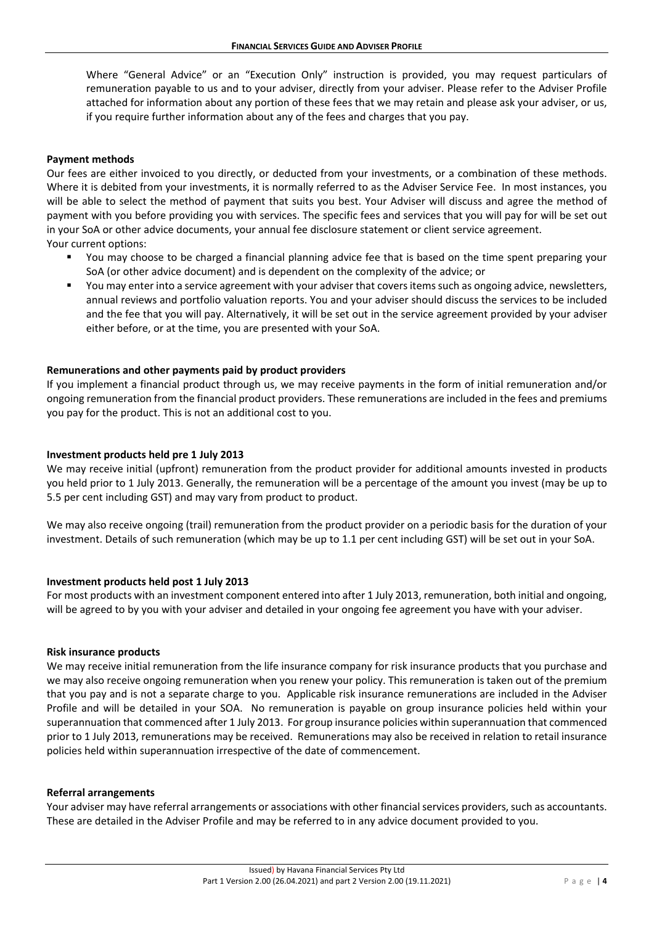Where "General Advice" or an "Execution Only" instruction is provided, you may request particulars of remuneration payable to us and to your adviser, directly from your adviser. Please refer to the Adviser Profile attached for information about any portion of these fees that we may retain and please ask your adviser, or us, if you require further information about any of the fees and charges that you pay.

## **Payment methods**

Our fees are either invoiced to you directly, or deducted from your investments, or a combination of these methods. Where it is debited from your investments, it is normally referred to as the Adviser Service Fee. In most instances, you will be able to select the method of payment that suits you best. Your Adviser will discuss and agree the method of payment with you before providing you with services. The specific fees and services that you will pay for will be set out in your SoA or other advice documents, your annual fee disclosure statement or client service agreement. Your current options:

- You may choose to be charged a financial planning advice fee that is based on the time spent preparing your SoA (or other advice document) and is dependent on the complexity of the advice; or
- You may enter into a service agreement with your adviser that covers items such as ongoing advice, newsletters, annual reviews and portfolio valuation reports. You and your adviser should discuss the services to be included and the fee that you will pay. Alternatively, it will be set out in the service agreement provided by your adviser either before, or at the time, you are presented with your SoA.

#### **Remunerations and other payments paid by product providers**

If you implement a financial product through us, we may receive payments in the form of initial remuneration and/or ongoing remuneration from the financial product providers. These remunerations are included in the fees and premiums you pay for the product. This is not an additional cost to you.

#### **Investment products held pre 1 July 2013**

We may receive initial (upfront) remuneration from the product provider for additional amounts invested in products you held prior to 1 July 2013. Generally, the remuneration will be a percentage of the amount you invest (may be up to 5.5 per cent including GST) and may vary from product to product.

We may also receive ongoing (trail) remuneration from the product provider on a periodic basis for the duration of your investment. Details of such remuneration (which may be up to 1.1 per cent including GST) will be set out in your SoA.

#### **Investment products held post 1 July 2013**

For most products with an investment component entered into after 1 July 2013, remuneration, both initial and ongoing, will be agreed to by you with your adviser and detailed in your ongoing fee agreement you have with your adviser.

#### **Risk insurance products**

We may receive initial remuneration from the life insurance company for risk insurance products that you purchase and we may also receive ongoing remuneration when you renew your policy. This remuneration is taken out of the premium that you pay and is not a separate charge to you. Applicable risk insurance remunerations are included in the Adviser Profile and will be detailed in your SOA. No remuneration is payable on group insurance policies held within your superannuation that commenced after 1 July 2013. For group insurance policies within superannuation that commenced prior to 1 July 2013, remunerations may be received. Remunerations may also be received in relation to retail insurance policies held within superannuation irrespective of the date of commencement.

#### **Referral arrangements**

Your adviser may have referral arrangements or associations with other financial services providers, such as accountants. These are detailed in the Adviser Profile and may be referred to in any advice document provided to you.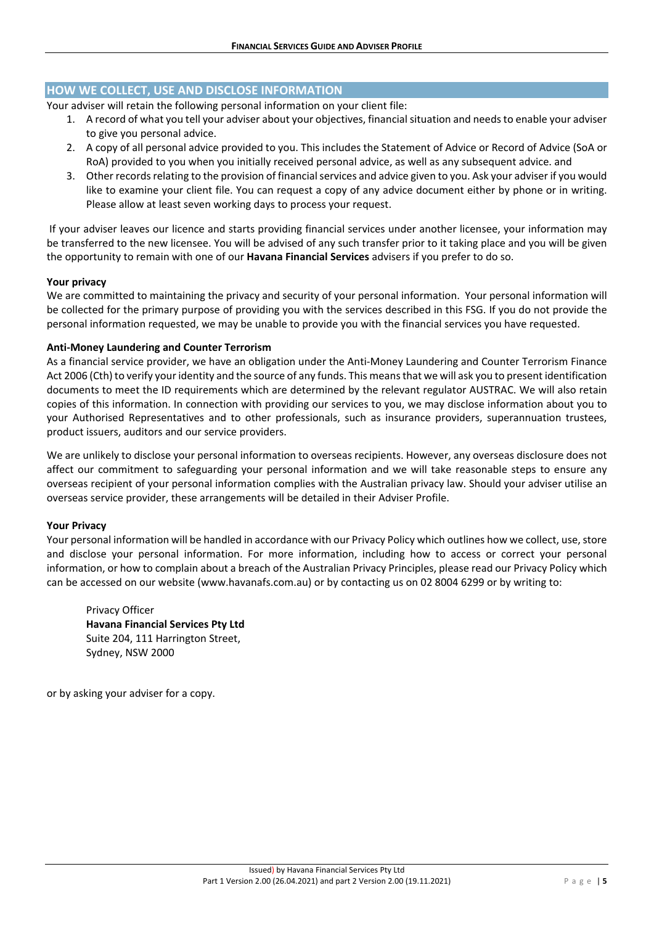# **HOW WE COLLECT, USE AND DISCLOSE INFORMATION**

Your adviser will retain the following personal information on your client file:

- 1. A record of what you tell your adviser about your objectives, financial situation and needs to enable your adviser to give you personal advice.
- 2. A copy of all personal advice provided to you. This includes the Statement of Advice or Record of Advice (SoA or RoA) provided to you when you initially received personal advice, as well as any subsequent advice. and
- 3. Other records relating to the provision of financial services and advice given to you. Ask your adviser if you would like to examine your client file. You can request a copy of any advice document either by phone or in writing. Please allow at least seven working days to process your request.

If your adviser leaves our licence and starts providing financial services under another licensee, your information may be transferred to the new licensee. You will be advised of any such transfer prior to it taking place and you will be given the opportunity to remain with one of our **Havana Financial Services** advisers if you prefer to do so.

#### **Your privacy**

We are committed to maintaining the privacy and security of your personal information. Your personal information will be collected for the primary purpose of providing you with the services described in this FSG. If you do not provide the personal information requested, we may be unable to provide you with the financial services you have requested.

#### **Anti-Money Laundering and Counter Terrorism**

As a financial service provider, we have an obligation under the Anti-Money Laundering and Counter Terrorism Finance Act 2006 (Cth) to verify your identity and the source of any funds. This means that we will ask you to present identification documents to meet the ID requirements which are determined by the relevant regulator AUSTRAC. We will also retain copies of this information. In connection with providing our services to you, we may disclose information about you to your Authorised Representatives and to other professionals, such as insurance providers, superannuation trustees, product issuers, auditors and our service providers.

We are unlikely to disclose your personal information to overseas recipients. However, any overseas disclosure does not affect our commitment to safeguarding your personal information and we will take reasonable steps to ensure any overseas recipient of your personal information complies with the Australian privacy law. Should your adviser utilise an overseas service provider, these arrangements will be detailed in their Adviser Profile.

#### **Your Privacy**

Your personal information will be handled in accordance with our Privacy Policy which outlines how we collect, use, store and disclose your personal information. For more information, including how to access or correct your personal information, or how to complain about a breach of the Australian Privacy Principles, please read our Privacy Policy which can be accessed on our website (www.havanafs.com.au) or by contacting us on 02 8004 6299 or by writing to:

Privacy Officer **Havana Financial Services Pty Ltd** Suite 204, 111 Harrington Street, Sydney, NSW 2000

or by asking your adviser for a copy.